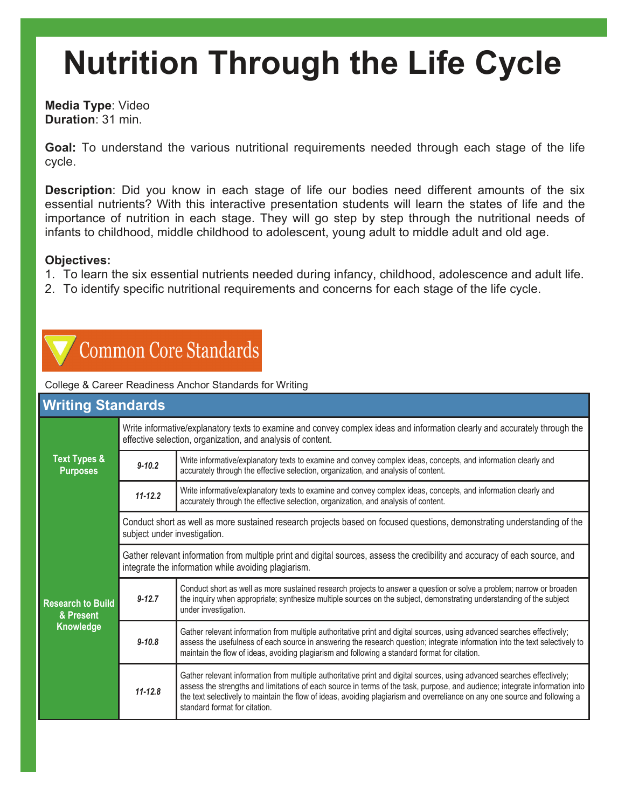**Media Type**: Video **Duration**: 31 min.

**Goal:** To understand the various nutritional requirements needed through each stage of the life cycle.

**Description**: Did you know in each stage of life our bodies need different amounts of the six essential nutrients? With this interactive presentation students will learn the states of life and the importance of nutrition in each stage. They will go step by step through the nutritional needs of infants to childhood, middle childhood to adolescent, young adult to middle adult and old age.

#### **Objectives:**

- 1. To learn the six essential nutrients needed during infancy, childhood, adolescence and adult life.
- 2. To identify specific nutritional requirements and concerns for each stage of the life cycle.

### **Common Core Standards**

College & Career Readiness Anchor Standards for Writing

| <b>Writing Standards</b>                           |                                                                                                                                                                                           |                                                                                                                                                                                                                                                                                                                                                                                                                       |  |  |
|----------------------------------------------------|-------------------------------------------------------------------------------------------------------------------------------------------------------------------------------------------|-----------------------------------------------------------------------------------------------------------------------------------------------------------------------------------------------------------------------------------------------------------------------------------------------------------------------------------------------------------------------------------------------------------------------|--|--|
| <b>Text Types &amp;</b><br><b>Purposes</b>         | Write informative/explanatory texts to examine and convey complex ideas and information clearly and accurately through the<br>effective selection, organization, and analysis of content. |                                                                                                                                                                                                                                                                                                                                                                                                                       |  |  |
|                                                    | $9 - 10.2$                                                                                                                                                                                | Write informative/explanatory texts to examine and convey complex ideas, concepts, and information clearly and<br>accurately through the effective selection, organization, and analysis of content.                                                                                                                                                                                                                  |  |  |
|                                                    | $11 - 12.2$                                                                                                                                                                               | Write informative/explanatory texts to examine and convey complex ideas, concepts, and information clearly and<br>accurately through the effective selection, organization, and analysis of content.                                                                                                                                                                                                                  |  |  |
| <b>Research to Build</b><br>& Present<br>Knowledge | Conduct short as well as more sustained research projects based on focused questions, demonstrating understanding of the<br>subject under investigation.                                  |                                                                                                                                                                                                                                                                                                                                                                                                                       |  |  |
|                                                    | Gather relevant information from multiple print and digital sources, assess the credibility and accuracy of each source, and<br>integrate the information while avoiding plagiarism.      |                                                                                                                                                                                                                                                                                                                                                                                                                       |  |  |
|                                                    | $9 - 12.7$                                                                                                                                                                                | Conduct short as well as more sustained research projects to answer a question or solve a problem; narrow or broaden<br>the inquiry when appropriate; synthesize multiple sources on the subject, demonstrating understanding of the subject<br>under investigation.                                                                                                                                                  |  |  |
|                                                    | $9 - 10.8$                                                                                                                                                                                | Gather relevant information from multiple authoritative print and digital sources, using advanced searches effectively;<br>assess the usefulness of each source in answering the research question; integrate information into the text selectively to<br>maintain the flow of ideas, avoiding plagiarism and following a standard format for citation.                                                               |  |  |
|                                                    | $11 - 12.8$                                                                                                                                                                               | Gather relevant information from multiple authoritative print and digital sources, using advanced searches effectively;<br>assess the strengths and limitations of each source in terms of the task, purpose, and audience; integrate information into<br>the text selectively to maintain the flow of ideas, avoiding plagiarism and overreliance on any one source and following a<br>standard format for citation. |  |  |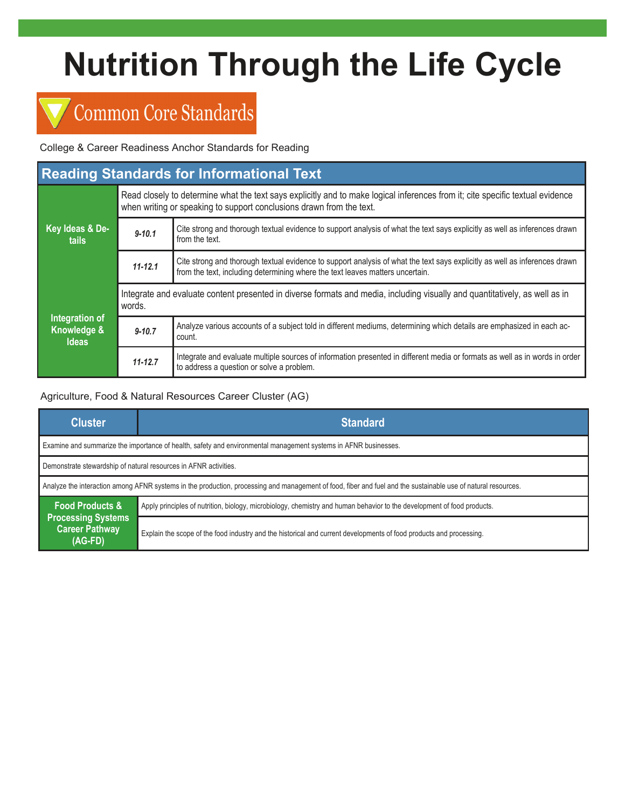## **Common Core Standards**

College & Career Readiness Anchor Standards for Reading

| <b>Reading Standards for Informational Text</b> |                                                                                                                                                                                                        |                                                                                                                                                                                                             |  |  |
|-------------------------------------------------|--------------------------------------------------------------------------------------------------------------------------------------------------------------------------------------------------------|-------------------------------------------------------------------------------------------------------------------------------------------------------------------------------------------------------------|--|--|
| Key Ideas & De-<br>tails                        | Read closely to determine what the text says explicitly and to make logical inferences from it; cite specific textual evidence<br>when writing or speaking to support conclusions drawn from the text. |                                                                                                                                                                                                             |  |  |
|                                                 | $9 - 10.1$                                                                                                                                                                                             | Cite strong and thorough textual evidence to support analysis of what the text says explicitly as well as inferences drawn<br>from the text.                                                                |  |  |
|                                                 | $11 - 12.1$                                                                                                                                                                                            | Cite strong and thorough textual evidence to support analysis of what the text says explicitly as well as inferences drawn<br>from the text, including determining where the text leaves matters uncertain. |  |  |
| Integration of<br>Knowledge &<br><b>Ideas</b>   | Integrate and evaluate content presented in diverse formats and media, including visually and quantitatively, as well as in<br>words.                                                                  |                                                                                                                                                                                                             |  |  |
|                                                 | $9 - 10.7$                                                                                                                                                                                             | Analyze various accounts of a subject told in different mediums, determining which details are emphasized in each ac-<br>count.                                                                             |  |  |
|                                                 | $11 - 12.7$                                                                                                                                                                                            | Integrate and evaluate multiple sources of information presented in different media or formats as well as in words in order<br>to address a question or solve a problem.                                    |  |  |

#### Agriculture, Food & Natural Resources Career Cluster (AG)

| <b>Cluster</b>                                                                                                                                                | <b>Standard</b>                                                                                                         |  |  |  |
|---------------------------------------------------------------------------------------------------------------------------------------------------------------|-------------------------------------------------------------------------------------------------------------------------|--|--|--|
| Examine and summarize the importance of health, safety and environmental management systems in AFNR businesses.                                               |                                                                                                                         |  |  |  |
| Demonstrate stewardship of natural resources in AFNR activities.                                                                                              |                                                                                                                         |  |  |  |
| Analyze the interaction among AFNR systems in the production, processing and management of food, fiber and fuel and the sustainable use of natural resources. |                                                                                                                         |  |  |  |
| <b>Food Products &amp;</b>                                                                                                                                    | Apply principles of nutrition, biology, microbiology, chemistry and human behavior to the development of food products. |  |  |  |
| <b>Processing Systems</b><br><b>Career Pathway</b><br>$(AG-FD)$                                                                                               | Explain the scope of the food industry and the historical and current developments of food products and processing.     |  |  |  |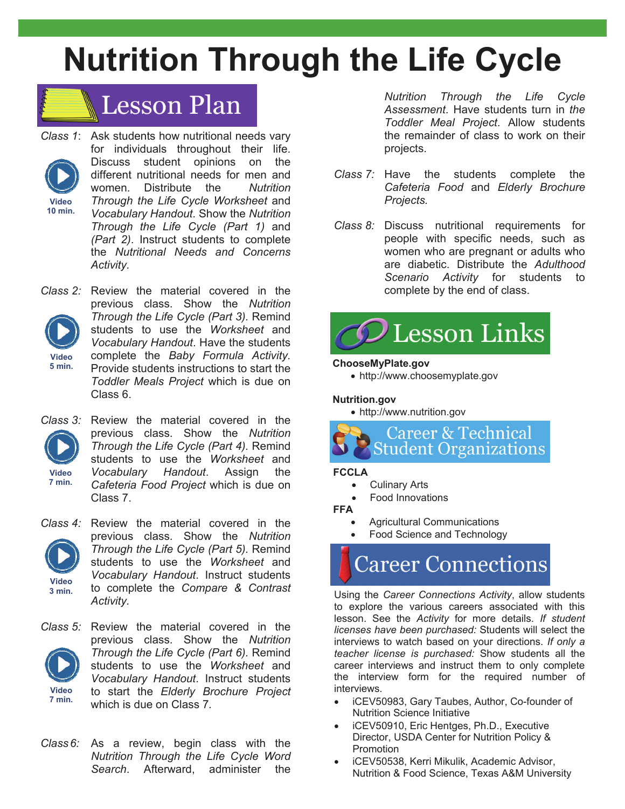

- *Class 1*: Ask students how nutritional needs vary for individuals throughout their life. Discuss student opinions on the different nutritional needs for men and women. Distribute the *Nutrition Through the Life Cycle Worksheet* and *Vocabulary Handout*. Show the *Nutrition Through the Life Cycle (Part 1)* and *(Part 2)*. Instruct students to complete the *Nutritional Needs and Concerns Activity.* **Video 10 min.**
- *Class 2:* Review the material covered in the previous class. Show the *Nutrition Through the Life Cycle (Part 3).* Remind students to use the *Worksheet* and *Vocabulary Handout*. Have the students complete the *Baby Formula Activity.* Provide students instructions to start the *Toddler Meals Project* which is due on Class 6. **Video 5 min.**
- **Video 7 min.**

*Class 3:* Review the material covered in the previous class. Show the *Nutrition Through the Life Cycle (Part 4).* Remind students to use the *Worksheet* and *Vocabulary Handout*. Assign the *Cafeteria Food Project* which is due on Class 7.



*Class 4:* Review the material covered in the previous class. Show the *Nutrition Through the Life Cycle (Part 5).* Remind students to use the *Worksheet* and *Vocabulary Handout*. Instruct students to complete the *Compare & Contrast Activity.* 



*Class 5:* Review the material covered in the previous class. Show the *Nutrition Through the Life Cycle (Part 6).* Remind students to use the *Worksheet* and *Vocabulary Handout*. Instruct students to start the *Elderly Brochure Project*  which is due on Class 7*.* 

*Class6:* As a review, begin class with the *Nutrition Through the Life Cycle Word Search*. Afterward, administer the

*Nutrition Through the Life Cycle Assessment*. Have students turn in *the Toddler Meal Project*. Allow students the remainder of class to work on their projects.

- *Class 7:* Have the students complete the *Cafeteria Food* and *Elderly Brochure Projects.*
- *Class 8:* Discuss nutritional requirements for people with specific needs, such as women who are pregnant or adults who are diabetic. Distribute the *Adulthood Scenario Activity* for students to complete by the end of class.



#### **ChooseMyPlate.gov**

http://www.choosemyplate.gov

#### **Nutrition.gov**

http://www.nutrition.gov



#### **FCCLA**

- Culinary Arts
- Food Innovations

**FFA** 

- Agricultural Communications
- Food Science and Technology

## **Career Connections**

Using the *Career Connections Activity*, allow students to explore the various careers associated with this lesson. See the *Activity* for more details. *If student licenses have been purchased:* Students will select the interviews to watch based on your directions. *If only a teacher license is purchased:* Show students all the career interviews and instruct them to only complete the interview form for the required number of interviews.

- iCEV50983, Gary Taubes, Author, Co-founder of Nutrition Science Initiative
- iCEV50910, Eric Hentges, Ph.D., Executive Director, USDA Center for Nutrition Policy & Promotion
- iCEV50538, Kerri Mikulik, Academic Advisor, Nutrition & Food Science, Texas A&M University